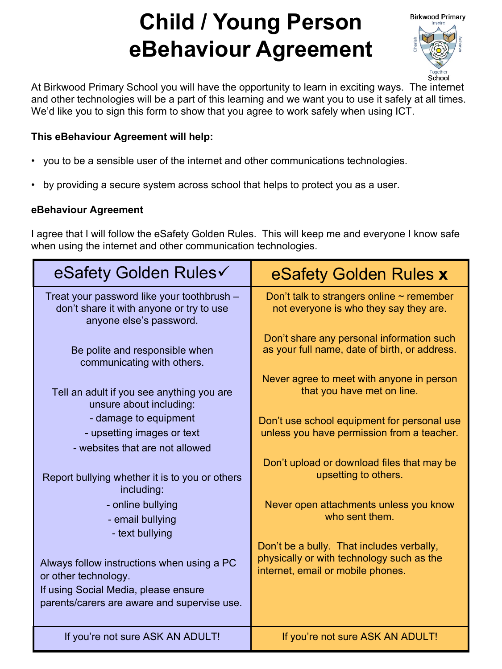# **Child / Young Person eBehaviour Agreement**



At Birkwood Primary School you will have the opportunity to learn in exciting ways. The internet and other technologies will be a part of this learning and we want you to use it safely at all times. We'd like you to sign this form to show that you agree to work safely when using ICT.

# **This eBehaviour Agreement will help:**

- you to be a sensible user of the internet and other communications technologies.
- by providing a secure system across school that helps to protect you as a user.

# **eBehaviour Agreement**

I agree that I will follow the eSafety Golden Rules. This will keep me and everyone I know safe when using the internet and other communication technologies.

| eSafety Golden Rules√                                                                                                                                     | eSafety Golden Rules x                                                                                                      |
|-----------------------------------------------------------------------------------------------------------------------------------------------------------|-----------------------------------------------------------------------------------------------------------------------------|
| Treat your password like your toothbrush -<br>don't share it with anyone or try to use<br>anyone else's password.                                         | Don't talk to strangers online $\sim$ remember<br>not everyone is who they say they are.                                    |
| Be polite and responsible when<br>communicating with others.                                                                                              | Don't share any personal information such<br>as your full name, date of birth, or address.                                  |
| Tell an adult if you see anything you are<br>unsure about including:                                                                                      | Never agree to meet with anyone in person<br>that you have met on line.                                                     |
| - damage to equipment<br>- upsetting images or text<br>- websites that are not allowed                                                                    | Don't use school equipment for personal use<br>unless you have permission from a teacher.                                   |
| Report bullying whether it is to you or others<br>including:                                                                                              | Don't upload or download files that may be<br>upsetting to others.                                                          |
| - online bullying<br>- email bullying<br>- text bullying                                                                                                  | Never open attachments unless you know<br>who sent them.                                                                    |
| Always follow instructions when using a PC<br>or other technology.<br>If using Social Media, please ensure<br>parents/carers are aware and supervise use. | Don't be a bully. That includes verbally,<br>physically or with technology such as the<br>internet, email or mobile phones. |
| If you're not sure ASK AN ADULT!                                                                                                                          | If you're not sure ASK AN ADULT!                                                                                            |